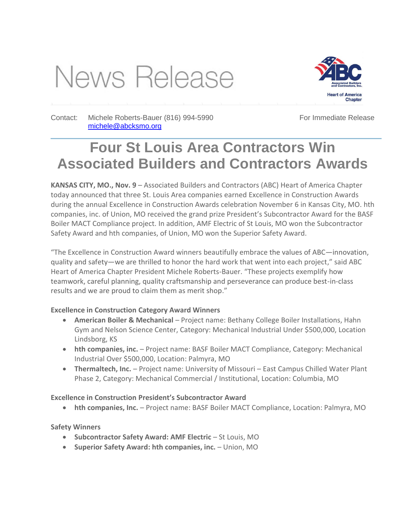# News Release



Contact: Michele Roberts-Bauer (816) 994-5990 [michele@abcksmo.org](mailto:michele@abcksmo.org) 

For Immediate Release

## **Four St Louis Area Contractors Win Associated Builders and Contractors Awards**

**KANSAS CITY, MO., Nov. 9** – Associated Builders and Contractors (ABC) Heart of America Chapter today announced that three St. Louis Area companies earned Excellence in Construction Awards during the annual Excellence in Construction Awards celebration November 6 in Kansas City, MO. hth companies, inc. of Union, MO received the grand prize President's Subcontractor Award for the BASF Boiler MACT Compliance project. In addition, AMF Electric of St Louis, MO won the Subcontractor Safety Award and hth companies, of Union, MO won the Superior Safety Award.

"The Excellence in Construction Award winners beautifully embrace the values of ABC—innovation, quality and safety—we are thrilled to honor the hard work that went into each project," said ABC Heart of America Chapter President Michele Roberts-Bauer. "These projects exemplify how teamwork, careful planning, quality craftsmanship and perseverance can produce best-in-class results and we are proud to claim them as merit shop."

### **Excellence in Construction Category Award Winners**

- **American Boiler & Mechanical** Project name: Bethany College Boiler Installations, Hahn Gym and Nelson Science Center, Category: Mechanical Industrial Under \$500,000, Location Lindsborg, KS
- hth companies, inc. Project name: BASF Boiler MACT Compliance, Category: Mechanical Industrial Over \$500,000, Location: Palmyra, MO
- **Thermaltech, Inc.** Project name: University of Missouri East Campus Chilled Water Plant Phase 2, Category: Mechanical Commercial / Institutional, Location: Columbia, MO

### **Excellence in Construction President's Subcontractor Award**

**hth companies, Inc.** – Project name: BASF Boiler MACT Compliance, Location: Palmyra, MO

### **Safety Winners**

- **Subcontractor Safety Award: AMF Electric** St Louis, MO
- **Superior Safety Award: hth companies, inc. Union, MO**